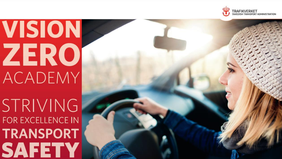

## **VISION ZERO ACADEMY**

STRIVING FOR EXCELLENCE IN **TRANSPORT SAFETY**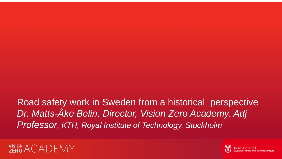Road safety work in Sweden from a historical perspective *Dr. Matts-Åke Belin, Director, Vision Zero Academy, Adj Professor, KTH, Royal Institute of Technology, Stockholm*



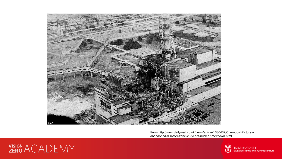

From http://www.dailymail.co.uk/news/article-1380432/Chernobyl-Picturesabandoned-disaster-zone-25-years-nuclear-meltdown.html



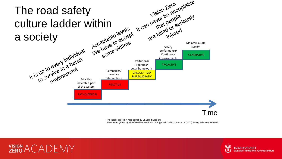

The ladder applied in road sector by Dr.Belin based on:

Westrum R (2004) Qual Saf Health Care 2004;13(Suppl II):ii22–ii27. Hudson P (2007) Safety Science 45 697-722



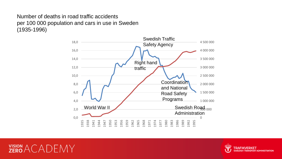Number of deaths in road traffic accidents per 100 000 population and cars in use in Sweden (1935-1996)